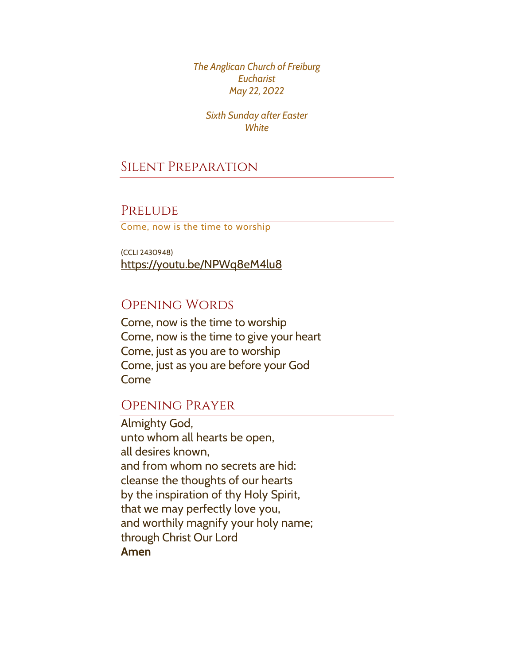*The Anglican Church of Freiburg Eucharist May 22, 2022*

*Sixth Sunday after Easter White*

# Silent Preparation

### **PRELUDE**

Come, now is the time to worship

(CCLI 2430948) [https://youtu.be/NPWq8eM4lu8](https://nam12.safelinks.protection.outlook.com/?url=https%3A%2F%2Fyoutu.be%2FNPWq8eM4lu8&data=05%7C01%7C%7C38079e7fae2148f796ca08da3a2599ba%7C84df9e7fe9f640afb435aaaaaaaaaaaa%7C1%7C0%7C637886230413059596%7CUnknown%7CTWFpbGZsb3d8eyJWIjoiMC4wLjAwMDAiLCJQIjoiV2luMzIiLCJBTiI6Ik1haWwiLCJXVCI6Mn0%3D%7C3000%7C%7C%7C&sdata=dIVOw67lk5FuxyTRZZDrYWt8W0%2Fx%2BFiEEongvBB1NhU%3D&reserved=0)

### Opening Words

Come, now is the time to worship Come, now is the time to give your heart Come, just as you are to worship Come, just as you are before your God Come

## Opening Prayer

Almighty God, unto whom all hearts be open, all desires known, and from whom no secrets are hid: cleanse the thoughts of our hearts by the inspiration of thy Holy Spirit, that we may perfectly love you, and worthily magnify your holy name; through Christ Our Lord **Amen**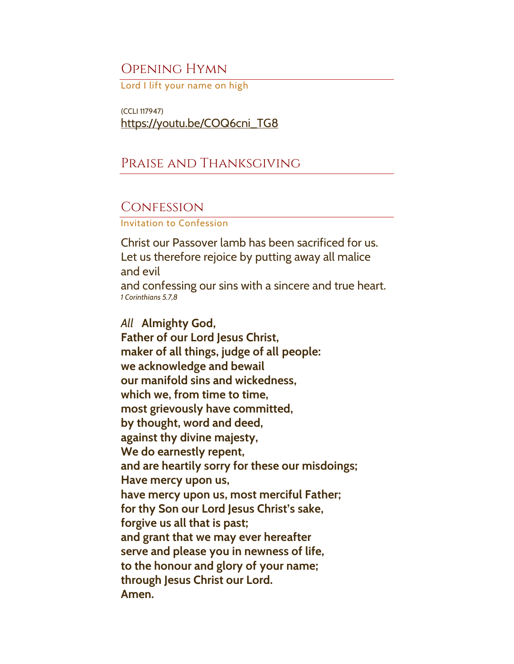### Opening Hymn

Lord I lift your name on high

(CCLI 117947) [https://youtu.be/COQ6cni\\_TG8](https://nam12.safelinks.protection.outlook.com/?url=https%3A%2F%2Fyoutu.be%2FCOQ6cni_TG8&data=05%7C01%7C%7C38079e7fae2148f796ca08da3a2599ba%7C84df9e7fe9f640afb435aaaaaaaaaaaa%7C1%7C0%7C637886230413059596%7CUnknown%7CTWFpbGZsb3d8eyJWIjoiMC4wLjAwMDAiLCJQIjoiV2luMzIiLCJBTiI6Ik1haWwiLCJXVCI6Mn0%3D%7C3000%7C%7C%7C&sdata=8oqdZXSwPumYcyFRZs%2B01Z0vbFfir3hq%2FNh2AgLqp8s%3D&reserved=0)

## Praise and Thanksgiving

### **CONFESSION**

### Invitation to Confession

Christ our Passover lamb has been sacrificed for us. Let us therefore rejoice by putting away all malice and evil and confessing our sins with a sincere and true heart. *1 Corinthians 5.7,8*

*All* **Almighty God, Father of our Lord Jesus Christ, maker of all things, judge of all people: we acknowledge and bewail our manifold sins and wickedness, which we, from time to time, most grievously have committed, by thought, word and deed, against thy divine majesty, We do earnestly repent, and are heartily sorry for these our misdoings; Have mercy upon us, have mercy upon us, most merciful Father; for thy Son our Lord Jesus Christ's sake, forgive us all that is past; and grant that we may ever hereafter serve and please you in newness of life, to the honour and glory of your name; through Jesus Christ our Lord. Amen.**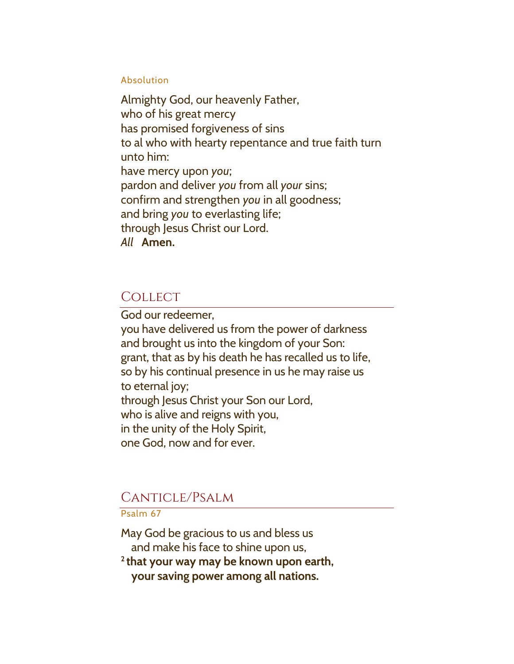#### Absolution

Almighty God, our heavenly Father, who of his great mercy has promised forgiveness of sins to al who with hearty repentance and true faith turn unto him: have mercy upon *you*; pardon and deliver *you* from all *your* sins; confirm and strengthen *you* in all goodness; and bring *you* to everlasting life; through Jesus Christ our Lord. *All* **Amen.**

# **COLLECT**

God our redeemer,

you have delivered us from the power of darkness and brought us into the kingdom of your Son: grant, that as by his death he has recalled us to life, so by his continual presence in us he may raise us to eternal joy; through Jesus Christ your Son our Lord, who is alive and reigns with you, in the unity of the Holy Spirit, one God, now and for ever.

## Canticle/Psalm

#### Psalm 67

May God be gracious to us and bless us and make his face to shine upon us, **2 that your way may be known upon earth, your saving power among all nations.**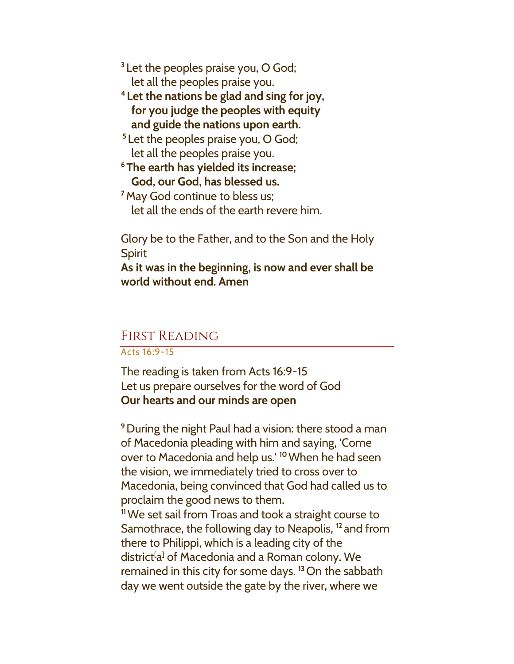- **<sup>3</sup>** Let the peoples praise you, O God; let all the peoples praise you.
- **<sup>4</sup> Let the nations be glad and sing for joy, for you judge the peoples with equity and guide the nations upon earth.**
- **<sup>5</sup>** Let the peoples praise you, O God; let all the peoples praise you.
- **<sup>6</sup> The earth has yielded its increase; God, our God, has blessed us.**
- **<sup>7</sup>**May God continue to bless us; let all the ends of the earth revere him.

Glory be to the Father, and to the Son and the Holy Spirit

**As it was in the beginning, is now and ever shall be world without end. Amen**

# First Reading

Acts 16:9-15

The reading is taken from Acts 16:9-15 Let us prepare ourselves for the word of God **Our hearts and our minds are open**

**<sup>9</sup>**During the night Paul had a vision: there stood a man of Macedonia pleading with him and saying, 'Come over to Macedonia and help us.' **<sup>10</sup>**When he had seen the vision, we immediately tried to cross over to Macedonia, being convinced that God had called us to proclaim the good news to them.

**<sup>11</sup>**We set sail from Troas and took a straight course to Samothrace, the following day to Neapolis, **<sup>12</sup>** and from there to Philippi, which is a leading city of the district<sup>[</sup>[a](https://www.biblegateway.com/passage/?search=Acts+16%3A9-15&version=NRSVA#fen-NRSVA-27483a)<sup>]</sup> of Macedonia and a Roman colony. We remained in this city for some days. **<sup>13</sup>**On the sabbath day we went outside the gate by the river, where we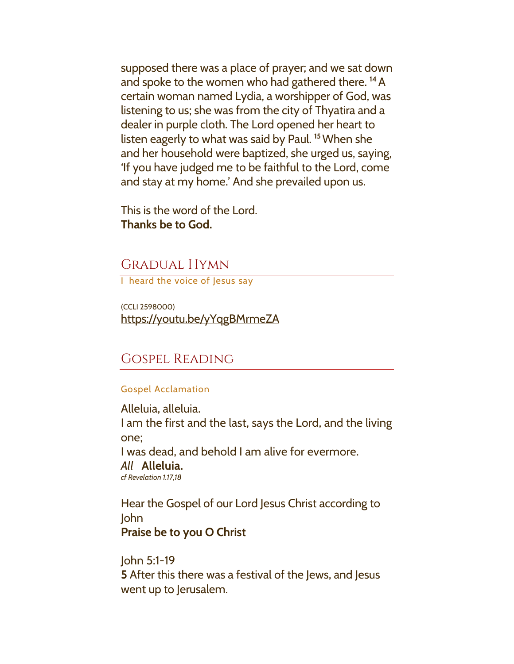supposed there was a place of prayer; and we sat down and spoke to the women who had gathered there. **<sup>14</sup>** A certain woman named Lydia, a worshipper of God, was listening to us; she was from the city of Thyatira and a dealer in purple cloth. The Lord opened her heart to listen eagerly to what was said by Paul. **<sup>15</sup>**When she and her household were baptized, she urged us, saying, 'If you have judged me to be faithful to the Lord, come and stay at my home.' And she prevailed upon us.

This is the word of the Lord. **Thanks be to God.**

Gradual Hymn

I heard the voice of Jesus say

(CCLI 2598000) [https://youtu.be/yYqgBMrmeZA](https://nam12.safelinks.protection.outlook.com/?url=https%3A%2F%2Fyoutu.be%2FyYqgBMrmeZA&data=05%7C01%7C%7C38079e7fae2148f796ca08da3a2599ba%7C84df9e7fe9f640afb435aaaaaaaaaaaa%7C1%7C0%7C637886230413059596%7CUnknown%7CTWFpbGZsb3d8eyJWIjoiMC4wLjAwMDAiLCJQIjoiV2luMzIiLCJBTiI6Ik1haWwiLCJXVCI6Mn0%3D%7C3000%7C%7C%7C&sdata=WTnMAKuACQny20ZLiPdsmE4%2BDUei8ib5IniTw7As%2BJU%3D&reserved=0)

# Gospel Reading

#### Gospel Acclamation

Alleluia, alleluia. I am the first and the last, says the Lord, and the living one; I was dead, and behold I am alive for evermore. *All* **Alleluia.** *cf Revelation 1.17,18*

Hear the Gospel of our Lord Jesus Christ according to John **Praise be to you O Christ**

## John 5:1-19 **5** After this there was a festival of the Jews, and Jesus went up to Jerusalem.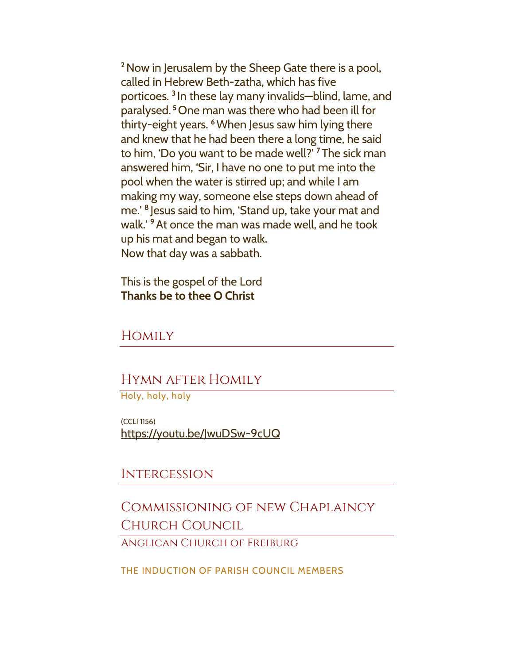**<sup>2</sup>**Now in Jerusalem by the Sheep Gate there is a pool, called in Hebrew Beth-zatha, which has five porticoes. **<sup>3</sup>** In these lay many invalids—blind, lame, and paralysed. **<sup>5</sup>**One man was there who had been ill for thirty-eight years. **<sup>6</sup>**When Jesus saw him lying there and knew that he had been there a long time, he said to him, 'Do you want to be made well?' **<sup>7</sup>** The sick man answered him, 'Sir, I have no one to put me into the pool when the water is stirred up; and while I am making my way, someone else steps down ahead of me.' **<sup>8</sup>** Jesus said to him, 'Stand up, take your mat and walk.' **<sup>9</sup>**At once the man was made well, and he took up his mat and began to walk. Now that day was a sabbath.

This is the gospel of the Lord **Thanks be to thee O Christ**

Homily

### Hymn after Homily

Holy, holy, holy

(CCLI 1156) [https://youtu.be/JwuDSw-9cUQ](https://nam12.safelinks.protection.outlook.com/?url=https%3A%2F%2Fyoutu.be%2FJwuDSw-9cUQ&data=05%7C01%7C%7C38079e7fae2148f796ca08da3a2599ba%7C84df9e7fe9f640afb435aaaaaaaaaaaa%7C1%7C0%7C637886230413059596%7CUnknown%7CTWFpbGZsb3d8eyJWIjoiMC4wLjAwMDAiLCJQIjoiV2luMzIiLCJBTiI6Ik1haWwiLCJXVCI6Mn0%3D%7C3000%7C%7C%7C&sdata=7g6%2Bi15mYFck5THxpVjBcDrnrSRfDDwSKxQsX3lJWro%3D&reserved=0)

**INTERCESSION** 

Commissioning of new Chaplaincy Church Council Anglican Church of Freiburg

THE INDUCTION OF PARISH COUNCIL MEMBERS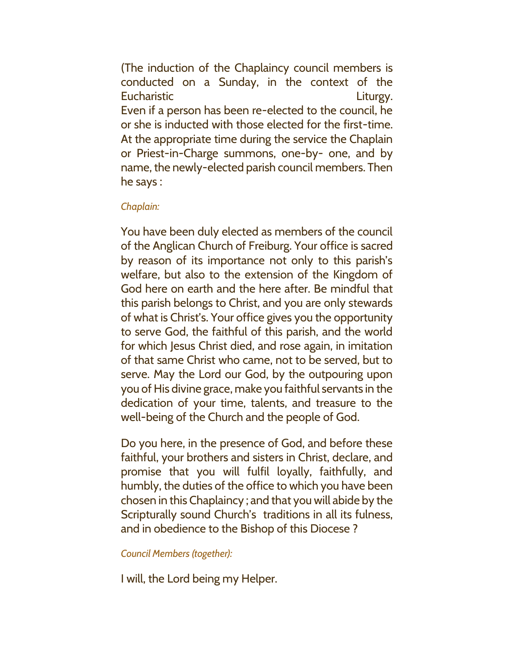(The induction of the Chaplaincy council members is conducted on a Sunday, in the context of the Eucharistic **Liturgy.** Even if a person has been re-elected to the council, he or she is inducted with those elected for the first-time. At the appropriate time during the service the Chaplain or Priest-in-Charge summons, one-by- one, and by name, the newly-elected parish council members. Then he says :

#### *Chaplain:*

You have been duly elected as members of the council of the Anglican Church of Freiburg. Your office is sacred by reason of its importance not only to this parish's welfare, but also to the extension of the Kingdom of God here on earth and the here after. Be mindful that this parish belongs to Christ, and you are only stewards of what is Christ's. Your office gives you the opportunity to serve God, the faithful of this parish, and the world for which Jesus Christ died, and rose again, in imitation of that same Christ who came, not to be served, but to serve. May the Lord our God, by the outpouring upon you of His divine grace, make you faithful servants in the dedication of your time, talents, and treasure to the well-being of the Church and the people of God.

Do you here, in the presence of God, and before these faithful, your brothers and sisters in Christ, declare, and promise that you will fulfil loyally, faithfully, and humbly, the duties of the office to which you have been chosen in this Chaplaincy ; and that you will abide by the Scripturally sound Church's traditions in all its fulness, and in obedience to the Bishop of this Diocese ?

#### *Council Members (together):*

I will, the Lord being my Helper.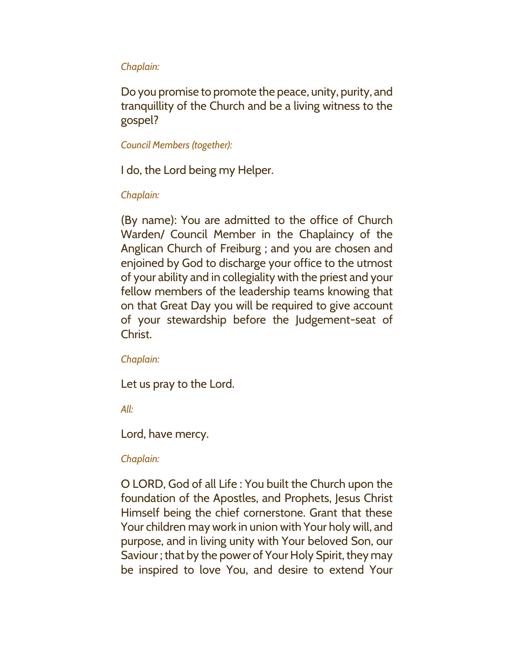#### *Chaplain:*

Do you promise to promote the peace, unity, purity, and tranquillity of the Church and be a living witness to the gospel?

### *Council Members (together):*

I do, the Lord being my Helper.

### *Chaplain:*

(By name): You are admitted to the office of Church Warden/ Council Member in the Chaplaincy of the Anglican Church of Freiburg ; and you are chosen and enjoined by God to discharge your office to the utmost of your ability and in collegiality with the priest and your fellow members of the leadership teams knowing that on that Great Day you will be required to give account of your stewardship before the Judgement-seat of Christ.

### *Chaplain:*

Let us pray to the Lord.

*All:* 

Lord, have mercy.

### *Chaplain:*

O LORD, God of all Life : You built the Church upon the foundation of the Apostles, and Prophets, Jesus Christ Himself being the chief cornerstone. Grant that these Your children may work in union with Your holy will, and purpose, and in living unity with Your beloved Son, our Saviour ; that by the power of Your Holy Spirit, they may be inspired to love You, and desire to extend Your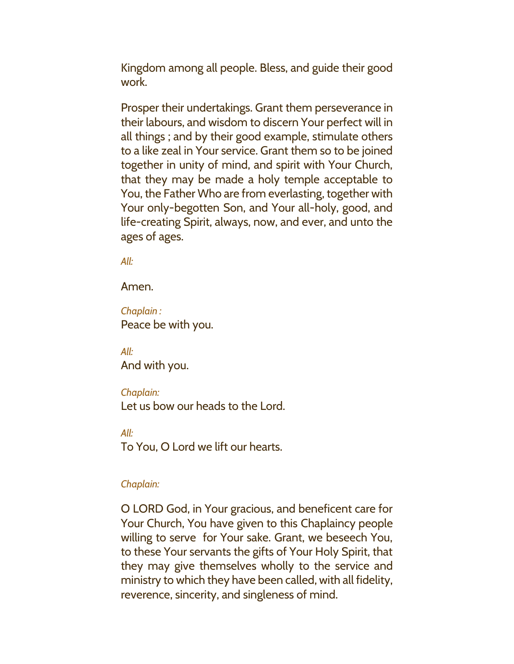Kingdom among all people. Bless, and guide their good work.

Prosper their undertakings. Grant them perseverance in their labours, and wisdom to discern Your perfect will in all things ; and by their good example, stimulate others to a like zeal in Your service. Grant them so to be joined together in unity of mind, and spirit with Your Church, that they may be made a holy temple acceptable to You, the Father Who are from everlasting, together with Your only-begotten Son, and Your all-holy, good, and life-creating Spirit, always, now, and ever, and unto the ages of ages.

*All:* 

Amen.

*Chaplain :*  Peace be with you.

*All:*  And with you.

#### *Chaplain:*

Let us bow our heads to the Lord.

*All:* 

To You, O Lord we lift our hearts.

#### *Chaplain:*

O LORD God, in Your gracious, and beneficent care for Your Church, You have given to this Chaplaincy people willing to serve for Your sake. Grant, we beseech You, to these Your servants the gifts of Your Holy Spirit, that they may give themselves wholly to the service and ministry to which they have been called, with all fidelity, reverence, sincerity, and singleness of mind.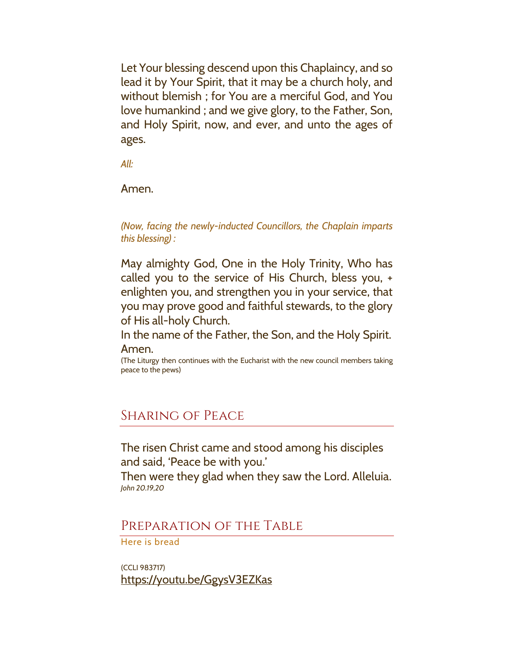Let Your blessing descend upon this Chaplaincy, and so lead it by Your Spirit, that it may be a church holy, and without blemish ; for You are a merciful God, and You love humankind ; and we give glory, to the Father, Son, and Holy Spirit, now, and ever, and unto the ages of ages.

*All:* 

Amen.

*(Now, facing the newly-inducted Councillors, the Chaplain imparts this blessing) :* 

May almighty God, One in the Holy Trinity, Who has called you to the service of His Church, bless you, + enlighten you, and strengthen you in your service, that you may prove good and faithful stewards, to the glory of His all-holy Church.

In the name of the Father, the Son, and the Holy Spirit. Amen.

(The Liturgy then continues with the Eucharist with the new council members taking peace to the pews)

## SHARING OF PEACE

The risen Christ came and stood among his disciples and said, 'Peace be with you.'

Then were they glad when they saw the Lord. Alleluia. *John 20.19,20*

### Preparation of the Table

Here is bread

(CCLI 983717) [https://youtu.be/GgysV3EZKas](https://nam12.safelinks.protection.outlook.com/?url=https%3A%2F%2Fyoutu.be%2FGgysV3EZKas&data=05%7C01%7C%7C38079e7fae2148f796ca08da3a2599ba%7C84df9e7fe9f640afb435aaaaaaaaaaaa%7C1%7C0%7C637886230413059596%7CUnknown%7CTWFpbGZsb3d8eyJWIjoiMC4wLjAwMDAiLCJQIjoiV2luMzIiLCJBTiI6Ik1haWwiLCJXVCI6Mn0%3D%7C3000%7C%7C%7C&sdata=FfK7qlAJURVz8Bzf1%2FcTwRmv39PtY%2F2PcpUuN77OHzo%3D&reserved=0)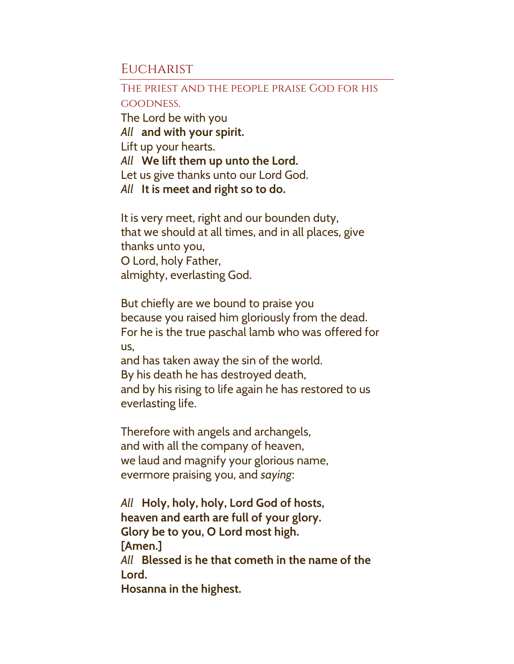## **EUCHARIST**

#### The priest and the people praise God for his goodness.

The Lord be with you *All* **and with your spirit.** Lift up your hearts. *All* **We lift them up unto the Lord.** Let us give thanks unto our Lord God. *All* **It is meet and right so to do.**

It is very meet, right and our bounden duty, that we should at all times, and in all places, give thanks unto you, O Lord, holy Father, almighty, everlasting God.

But chiefly are we bound to praise you because you raised him gloriously from the dead. For he is the true paschal lamb who was offered for us,

and has taken away the sin of the world. By his death he has destroyed death, and by his rising to life again he has restored to us everlasting life.

Therefore with angels and archangels, and with all the company of heaven, we laud and magnify your glorious name, evermore praising you, and *saying*:

*All* **Holy, holy, holy, Lord God of hosts, heaven and earth are full of your glory. Glory be to you, O Lord most high. [Amen.]** *All* **Blessed is he that cometh in the name of the Lord.**

**Hosanna in the highest.**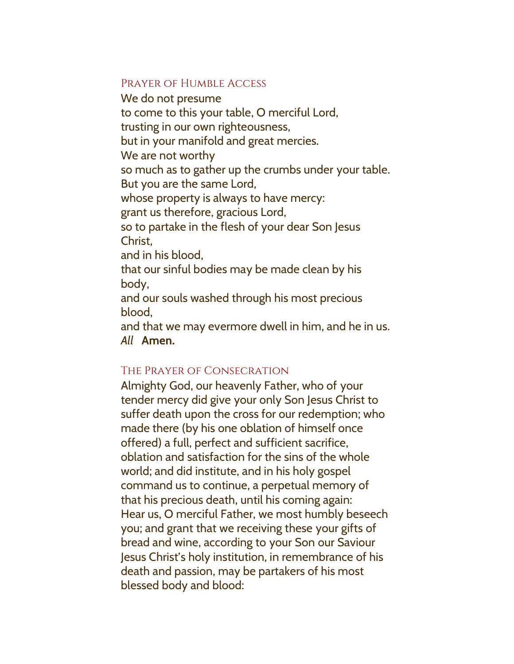#### Prayer of Humble Access

We do not presume to come to this your table, O merciful Lord, trusting in our own righteousness, but in your manifold and great mercies. We are not worthy so much as to gather up the crumbs under your table. But you are the same Lord, whose property is always to have mercy: grant us therefore, gracious Lord, so to partake in the flesh of your dear Son Jesus Christ, and in his blood, that our sinful bodies may be made clean by his body, and our souls washed through his most precious blood, and that we may evermore dwell in him, and he in us.

*All* **Amen.**

#### The Prayer of Consecration

Almighty God, our heavenly Father, who of your tender mercy did give your only Son Jesus Christ to suffer death upon the cross for our redemption; who made there (by his one oblation of himself once offered) a full, perfect and sufficient sacrifice, oblation and satisfaction for the sins of the whole world; and did institute, and in his holy gospel command us to continue, a perpetual memory of that his precious death, until his coming again: Hear us, O merciful Father, we most humbly beseech you; and grant that we receiving these your gifts of bread and wine, according to your Son our Saviour Jesus Christ's holy institution, in remembrance of his death and passion, may be partakers of his most blessed body and blood: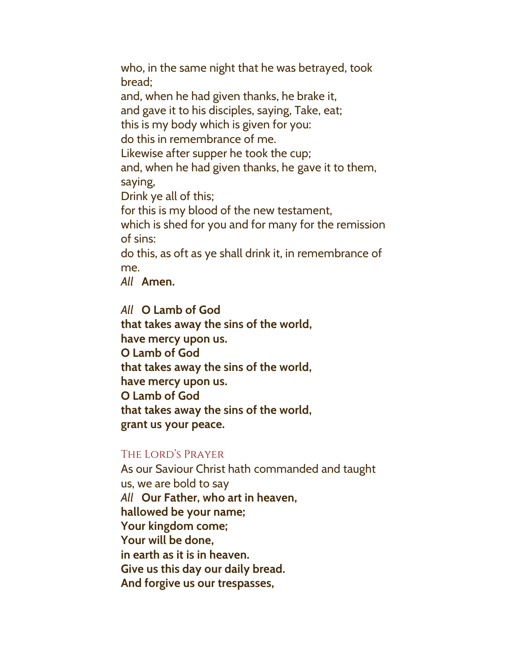who, in the same night that he was betrayed, took bread;

and, when he had given thanks, he brake it,

and gave it to his disciples, saying, Take, eat;

this is my body which is given for you:

do this in remembrance of me.

Likewise after supper he took the cup;

and, when he had given thanks, he gave it to them, saying,

Drink ye all of this;

for this is my blood of the new testament,

which is shed for you and for many for the remission of sins:

do this, as oft as ye shall drink it, in remembrance of me.

*All* **Amen.**

*All* **O Lamb of God that takes away the sins of the world, have mercy upon us. O Lamb of God that takes away the sins of the world, have mercy upon us. O Lamb of God that takes away the sins of the world, grant us your peace.**

## The Lord's Prayer

As our Saviour Christ hath commanded and taught us, we are bold to say *All* **Our Father, who art in heaven, hallowed be your name; Your kingdom come; Your will be done, in earth as it is in heaven. Give us this day our daily bread. And forgive us our trespasses,**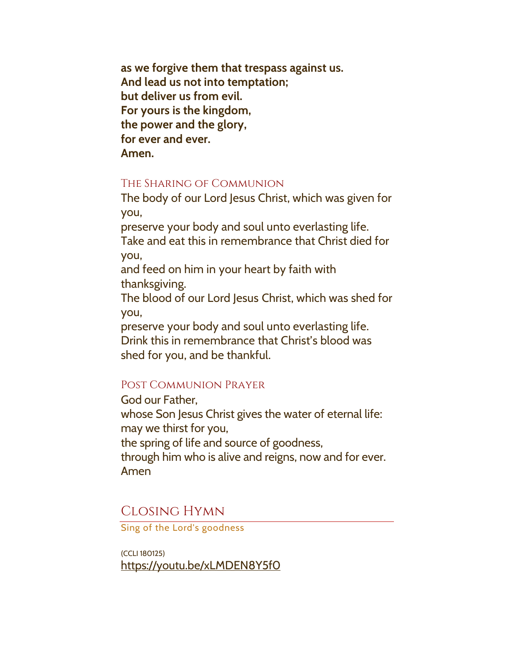**as we forgive them that trespass against us. And lead us not into temptation; but deliver us from evil. For yours is the kingdom, the power and the glory, for ever and ever. Amen.**

#### The Sharing of Communion

The body of our Lord Jesus Christ, which was given for you,

preserve your body and soul unto everlasting life. Take and eat this in remembrance that Christ died for you,

and feed on him in your heart by faith with thanksgiving.

The blood of our Lord Jesus Christ, which was shed for you,

preserve your body and soul unto everlasting life. Drink this in remembrance that Christ's blood was shed for you, and be thankful.

#### Post Communion Prayer

God our Father, whose Son Jesus Christ gives the water of eternal life: may we thirst for you, the spring of life and source of goodness, through him who is alive and reigns, now and for ever. Amen

## Closing Hymn

Sing of the Lord's goodness

(CCLI 180125) https://youtu.be/xLMDEN8Y5f0